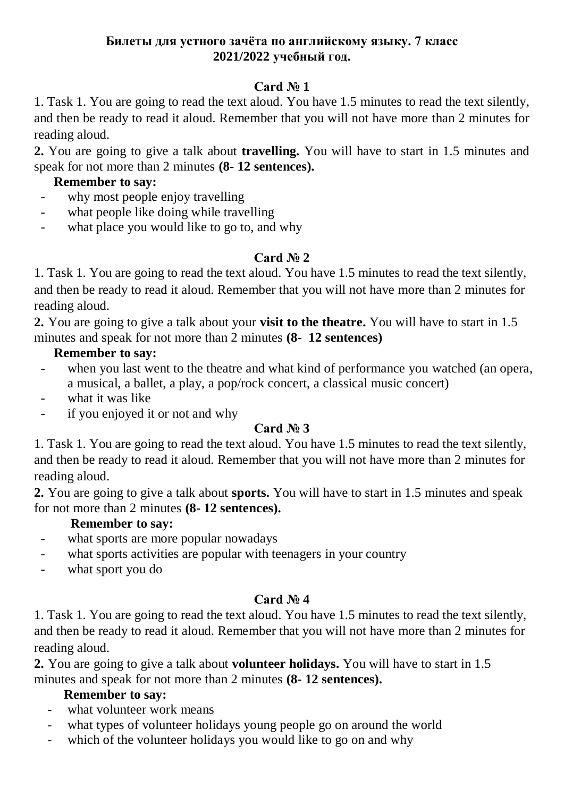#### **Билеты для устного зачёта по английскому языку. 7 класс 2021/2022 учебный год.**

# **Card № 1**

1. Task 1. You are going to read the text aloud. You have 1.5 minutes to read the text silently, and then be ready to read it aloud. Remember that you will not have more than 2 minutes for reading aloud.

**2.** You are going to give a talk about **travelling.** You will have to start in 1.5 minutes and speak for not more than 2 minutes **(8- 12 sentences).**

### **Remember to say:**

- why most people enjoy travelling
- what people like doing while travelling
- what place you would like to go to, and why

## **Card № 2**

1. Task 1. You are going to read the text aloud. You have 1.5 minutes to read the text silently, and then be ready to read it aloud. Remember that you will not have more than 2 minutes for reading aloud.

**2.** You are going to give a talk about your **visit to the theatre.** You will have to start in 1.5 minutes and speak for not more than 2 minutes **(8- 12 sentences)**

## **Remember to say:**

- when you last went to the theatre and what kind of performance you watched (an opera, a musical, a ballet, a play, a pop/rock concert, a classical music concert)
- what it was like
- if you enjoyed it or not and why

## **Card № 3**

1. Task 1. You are going to read the text aloud. You have 1.5 minutes to read the text silently, and then be ready to read it aloud. Remember that you will not have more than 2 minutes for reading aloud.

**2.** You are going to give a talk about **sports.** You will have to start in 1.5 minutes and speak for not more than 2 minutes **(8- 12 sentences).**

## **Remember to say:**

- what sports are more popular nowadays
- what sports activities are popular with teenagers in your country
- what sport you do

## **Card № 4**

1. Task 1. You are going to read the text aloud. You have 1.5 minutes to read the text silently, and then be ready to read it aloud. Remember that you will not have more than 2 minutes for reading aloud.

**2.** You are going to give a talk about **volunteer holidays.** You will have to start in 1.5 minutes and speak for not more than 2 minutes **(8- 12 sentences).**

- what volunteer work means
- what types of volunteer holidays young people go on around the world
- which of the volunteer holidays you would like to go on and why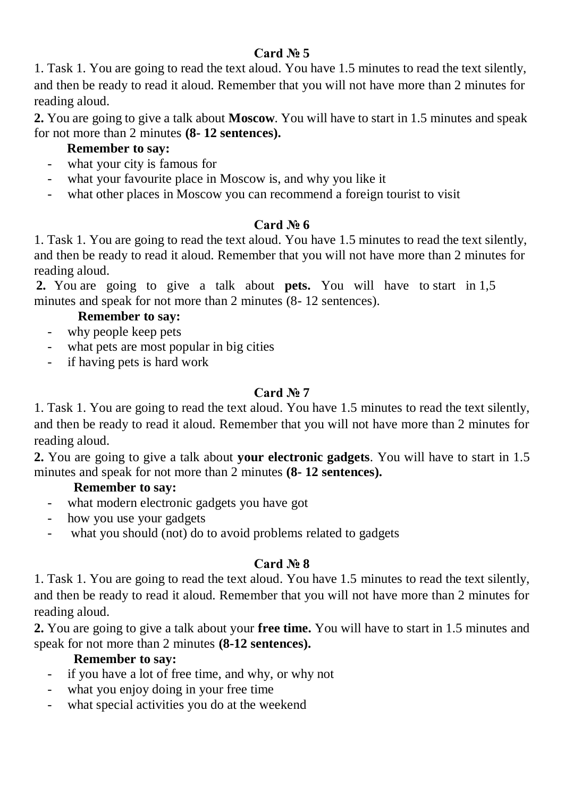1. Task 1. You are going to read the text aloud. You have 1.5 minutes to read the text silently, and then be ready to read it aloud. Remember that you will not have more than 2 minutes for reading aloud.

**2.** You are going to give a talk about **Moscow**. You will have to start in 1.5 minutes and speak for not more than 2 minutes **(8- 12 sentences).**

# **Remember to say:**

- what your city is famous for
- what your favourite place in Moscow is, and why you like it
- what other places in Moscow you can recommend a foreign tourist to visit

# **Card № 6**

1. Task 1. You are going to read the text aloud. You have 1.5 minutes to read the text silently, and then be ready to read it aloud. Remember that you will not have more than 2 minutes for reading aloud.

**2.** You are going to give a talk about **pets.** You will have to start in 1,5 minutes and speak for not more than 2 minutes (8- 12 sentences).

### **Remember to say:**

- why people keep pets
- what pets are most popular in big cities
- if having pets is hard work

# **Card № 7**

1. Task 1. You are going to read the text aloud. You have 1.5 minutes to read the text silently, and then be ready to read it aloud. Remember that you will not have more than 2 minutes for reading aloud.

**2.** You are going to give a talk about **your electronic gadgets**. You will have to start in 1.5 minutes and speak for not more than 2 minutes **(8- 12 sentences).**

## **Remember to say:**

- what modern electronic gadgets you have got
- how you use your gadgets
- what you should (not) do to avoid problems related to gadgets

# **Card № 8**

1. Task 1. You are going to read the text aloud. You have 1.5 minutes to read the text silently, and then be ready to read it aloud. Remember that you will not have more than 2 minutes for reading aloud.

**2.** You are going to give a talk about your **free time.** You will have to start in 1.5 minutes and speak for not more than 2 minutes **(8-12 sentences).**

- if you have a lot of free time, and why, or why not
- what you enjoy doing in your free time
- what special activities you do at the weekend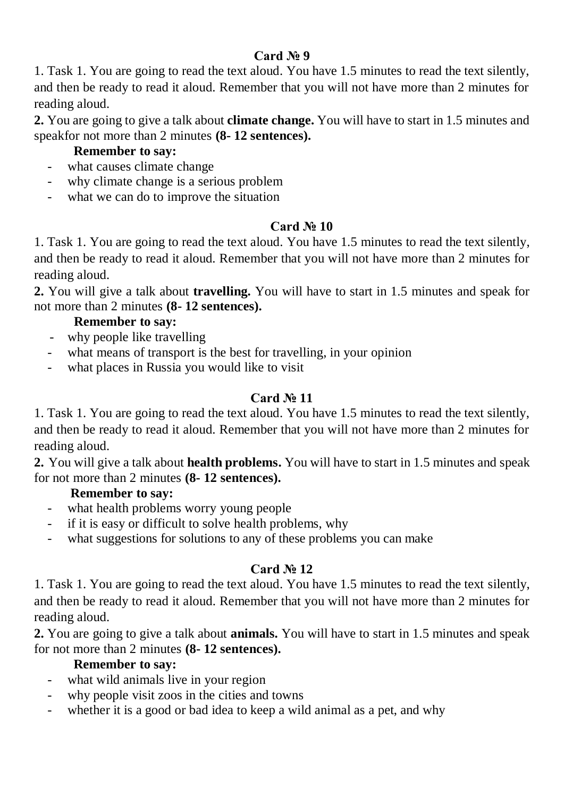1. Task 1. You are going to read the text aloud. You have 1.5 minutes to read the text silently, and then be ready to read it aloud. Remember that you will not have more than 2 minutes for reading aloud.

**2.** You are going to give a talk about **climate change.** You will have to start in 1.5 minutes and speakfor not more than 2 minutes **(8- 12 sentences).**

### **Remember to say:**

- what causes climate change
- why climate change is a serious problem
- what we can do to improve the situation

### **Card № 10**

1. Task 1. You are going to read the text aloud. You have 1.5 minutes to read the text silently, and then be ready to read it aloud. Remember that you will not have more than 2 minutes for reading aloud.

**2.** You will give a talk about **travelling.** You will have to start in 1.5 minutes and speak for not more than 2 minutes **(8- 12 sentences).**

#### **Remember to say:**

- why people like travelling
- what means of transport is the best for travelling, in your opinion
- what places in Russia you would like to visit

# **Card № 11**

1. Task 1. You are going to read the text aloud. You have 1.5 minutes to read the text silently, and then be ready to read it aloud. Remember that you will not have more than 2 minutes for reading aloud.

**2.** You will give a talk about **health problems.** You will have to start in 1.5 minutes and speak for not more than 2 minutes **(8- 12 sentences).**

#### **Remember to say:**

- what health problems worry young people
- if it is easy or difficult to solve health problems, why
- what suggestions for solutions to any of these problems you can make

## **Card № 12**

1. Task 1. You are going to read the text aloud. You have 1.5 minutes to read the text silently, and then be ready to read it aloud. Remember that you will not have more than 2 minutes for reading aloud.

**2.** You are going to give a talk about **animals.** You will have to start in 1.5 minutes and speak for not more than 2 minutes **(8- 12 sentences).**

- what wild animals live in your region
- why people visit zoos in the cities and towns
- whether it is a good or bad idea to keep a wild animal as a pet, and why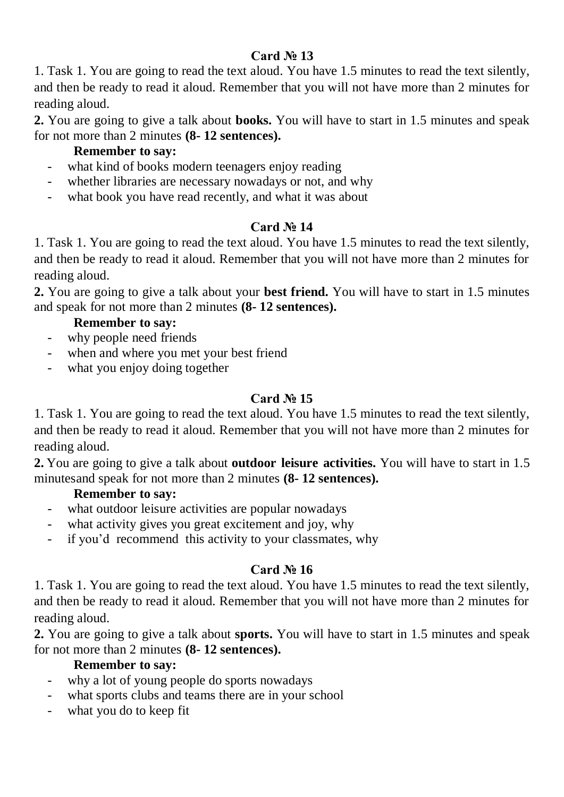1. Task 1. You are going to read the text aloud. You have 1.5 minutes to read the text silently, and then be ready to read it aloud. Remember that you will not have more than 2 minutes for reading aloud.

**2.** You are going to give a talk about **books.** You will have to start in 1.5 minutes and speak for not more than 2 minutes **(8- 12 sentences).**

### **Remember to say:**

- what kind of books modern teenagers enjoy reading
- whether libraries are necessary nowadays or not, and why
- what book you have read recently, and what it was about

### **Card № 14**

1. Task 1. You are going to read the text aloud. You have 1.5 minutes to read the text silently, and then be ready to read it aloud. Remember that you will not have more than 2 minutes for reading aloud.

**2.** You are going to give a talk about your **best friend.** You will have to start in 1.5 minutes and speak for not more than 2 minutes **(8- 12 sentences).**

#### **Remember to say:**

- why people need friends
- when and where you met your best friend
- what you enjoy doing together

### **Card № 15**

1. Task 1. You are going to read the text aloud. You have 1.5 minutes to read the text silently, and then be ready to read it aloud. Remember that you will not have more than 2 minutes for reading aloud.

**2.** You are going to give a talk about **outdoor leisure activities.** You will have to start in 1.5 minutesand speak for not more than 2 minutes **(8- 12 sentences).**

#### **Remember to say:**

- what outdoor leisure activities are popular nowadays
- what activity gives you great excitement and joy, why
- if you'd recommend this activity to your classmates, why

#### **Card № 16**

1. Task 1. You are going to read the text aloud. You have 1.5 minutes to read the text silently, and then be ready to read it aloud. Remember that you will not have more than 2 minutes for reading aloud.

**2.** You are going to give a talk about **sports.** You will have to start in 1.5 minutes and speak for not more than 2 minutes **(8- 12 sentences).**

- why a lot of young people do sports nowadays
- what sports clubs and teams there are in your school
- what you do to keep fit